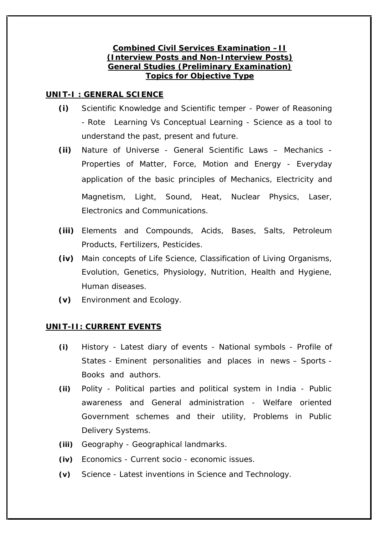## **Combined Civil Services Examination –II (Interview Posts and Non-Interview Posts) General Studies (Preliminary Examination) Topics for Objective Type**

## **UNIT-I : GENERAL SCIENCE**

- **(i)** Scientific Knowledge and Scientific temper Power of Reasoning - Rote Learning Vs Conceptual Learning - Science as a tool to understand the past, present and future.
- **(ii)** Nature of Universe General Scientific Laws Mechanics Properties of Matter, Force, Motion and Energy - Everyday application of the basic principles of Mechanics, Electricity and Magnetism, Light, Sound, Heat, Nuclear Physics, Laser, Electronics and Communications.
- **(iii)** Elements and Compounds, Acids, Bases, Salts, Petroleum Products, Fertilizers, Pesticides.
- **(iv)** Main concepts of Life Science, Classification of Living Organisms, Evolution, Genetics, Physiology, Nutrition, Health and Hygiene, Human diseases.
- **(v)** Environment and Ecology.

# **UNIT-II: CURRENT EVENTS**

- **(i)** History Latest diary of events National symbols Profile of States - Eminent personalities and places in news – Sports - Books and authors.
- **(ii)** Polity Political parties and political system in India Public awareness and General administration - Welfare oriented Government schemes and their utility, Problems in Public Delivery Systems.
- **(iii)** Geography Geographical landmarks.
- **(iv)** Economics Current socio economic issues.
- **(v)** Science Latest inventions in Science and Technology.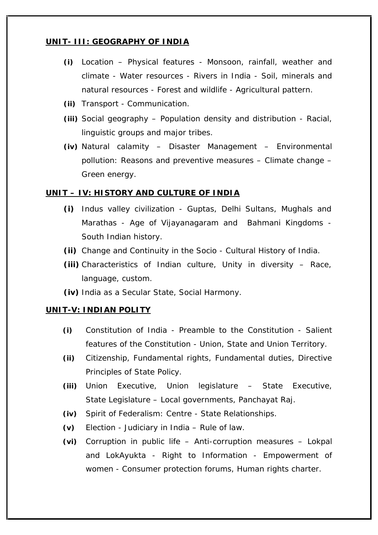## **UNIT- III: GEOGRAPHY OF INDIA**

- **(i)** Location Physical features Monsoon, rainfall, weather and climate - Water resources - Rivers in India - Soil, minerals and natural resources - Forest and wildlife - Agricultural pattern.
- **(ii)** Transport Communication.
- **(iii)** Social geography Population density and distribution Racial, linguistic groups and major tribes.
- **(iv)** Natural calamity Disaster Management Environmental pollution: Reasons and preventive measures – Climate change – Green energy.

## **UNIT – IV: HISTORY AND CULTURE OF INDIA**

- **(i)** Indus valley civilization Guptas, Delhi Sultans, Mughals and Marathas - Age of Vijayanagaram and Bahmani Kingdoms - South Indian history.
- **(ii)** Change and Continuity in the Socio Cultural History of India.
- **(iii)** Characteristics of Indian culture, Unity in diversity Race, language, custom.
- **(iv)** India as a Secular State, Social Harmony.

## **UNIT-V: INDIAN POLITY**

- **(i)** Constitution of India Preamble to the Constitution Salient features of the Constitution - Union, State and Union Territory.
- **(ii)** Citizenship, Fundamental rights, Fundamental duties, Directive Principles of State Policy.
- **(iii)** Union Executive, Union legislature State Executive, State Legislature – Local governments, Panchayat Raj.
- **(iv)** Spirit of Federalism: Centre State Relationships.
- **(v)** Election Judiciary in India Rule of law.
- **(vi)** Corruption in public life Anti-corruption measures Lokpal and LokAyukta - Right to Information -Empowerment of women - Consumer protection forums, Human rights charter.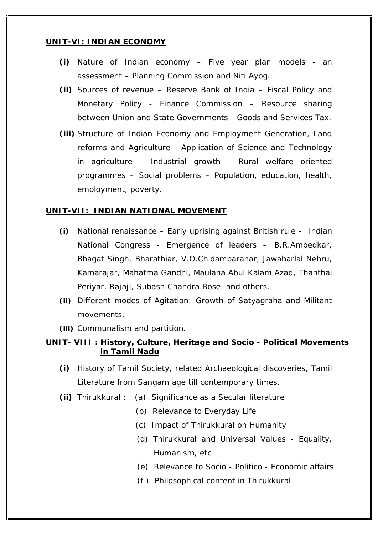## **UNIT-VI: INDIAN ECONOMY**

- **(i)** Nature of Indian economy Five year plan models an assessment – Planning Commission and Niti Ayog.
- **(ii)** Sources of revenue Reserve Bank of India Fiscal Policy and Monetary Policy - Finance Commission – Resource sharing between Union and State Governments - Goods and Services Tax.
- **(iii)** Structure of Indian Economy and Employment Generation, Land reforms and Agriculture - Application of Science and Technology in agriculture - Industrial growth - Rural welfare oriented programmes – Social problems – Population, education, health, employment, poverty.

## **UNIT-VII: INDIAN NATIONAL MOVEMENT**

- **(i)** National renaissance Early uprising against British rule Indian National Congress - Emergence of leaders – B.R.Ambedkar, Bhagat Singh, Bharathiar, V.O.Chidambaranar, Jawaharlal Nehru, Kamarajar, Mahatma Gandhi, Maulana Abul Kalam Azad, Thanthai Periyar, Rajaji, Subash Chandra Bose and others.
- **(ii)** Different modes of Agitation: Growth of Satyagraha and Militant movements.
- **(iii)** Communalism and partition.

**UNIT- VIII : History, Culture, Heritage and Socio - Political Movements in Tamil Nadu**

- **(i)** History of Tamil Society, related Archaeological discoveries, Tamil Literature from Sangam age till contemporary times.
- **(ii)** Thirukkural : (a) Significance as a Secular literature
	- (b) Relevance to Everyday Life
	- (c) Impact of Thirukkural on Humanity
	- (d) Thirukkural and Universal Values Equality, Humanism, etc
	- (e) Relevance to Socio Politico Economic affairs
	- (f ) Philosophical content in Thirukkural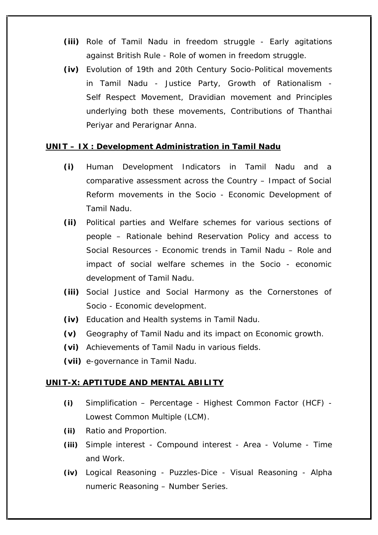- **(iii)** Role of Tamil Nadu in freedom struggle Early agitations against British Rule - Role of women in freedom struggle.
- **(iv)** Evolution of 19th and 20th Century Socio-Political movements in Tamil Nadu - Justice Party, Growth of Rationalism - Self Respect Movement, Dravidian movement and Principles underlying both these movements, Contributions of Thanthai Periyar and Perarignar Anna.

## **UNIT – IX : Development Administration in Tamil Nadu**

- **(i)** Human Development Indicators in Tamil Nadu and a comparative assessment across the Country – Impact of Social Reform movements in the Socio - Economic Development of Tamil Nadu.
- **(ii)** Political parties and Welfare schemes for various sections of people – Rationale behind Reservation Policy and access to Social Resources - Economic trends in Tamil Nadu – Role and impact of social welfare schemes in the Socio - economic development of Tamil Nadu.
- **(iii)** Social Justice and Social Harmony as the Cornerstones of Socio - Economic development.
- **(iv)** Education and Health systems in Tamil Nadu.
- **(v)** Geography of Tamil Nadu and its impact on Economic growth.
- **(vi)** Achievements of Tamil Nadu in various fields.
- **(vii)** e-governance in Tamil Nadu.

## **UNIT-X: APTITUDE AND MENTAL ABILITY**

- **(i)** Simplification Percentage -Highest Common Factor (HCF) Lowest Common Multiple (LCM).
- **(ii)** Ratio and Proportion.
- **(iii)** Simple interest Compound interest Area Volume -Time and Work.
- **(iv)** Logical Reasoning Puzzles-Dice -Visual Reasoning Alpha numeric Reasoning – Number Series.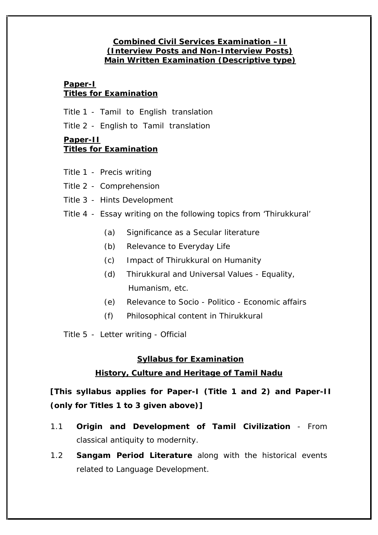## **Combined Civil Services Examination –II (Interview Posts and Non-Interview Posts) Main Written Examination (Descriptive type)**

## **Paper-I Titles for Examination**

Title 1 - Tamil to English translation

Title 2 - English to Tamil translation

## **Paper-II**

# **Titles for Examination**

- Title 1 Precis writing
- Title 2 Comprehension
- Title 3 Hints Development
- Title 4 Essay writing on the following topics from 'Thirukkural'
	- (a) Significance as a Secular literature
	- (b) Relevance to Everyday Life
	- (c) Impact of Thirukkural on Humanity
	- (d) Thirukkural and Universal Values Equality, Humanism, etc.
	- (e) Relevance to Socio Politico Economic affairs
	- (f) Philosophical content in Thirukkural

Title 5 - Letter writing - Official

# **Syllabus for Examination**

# **History, Culture and Heritage of Tamil Nadu**

**[This syllabus applies for Paper-I (Title 1 and 2) and Paper-II (only for Titles 1 to 3 given above)]**

- 1.1 **Origin and Development of Tamil Civilization** From classical antiquity to modernity.
- 1.2 **Sangam Period Literature** along with the historical events related to Language Development.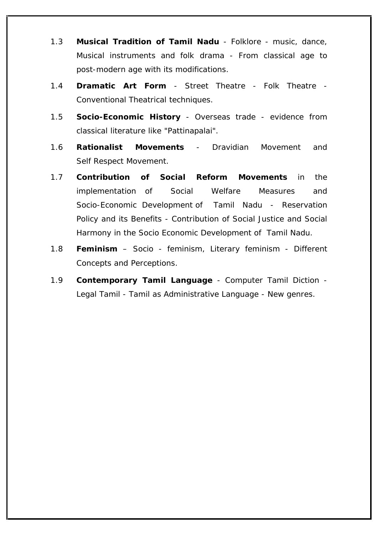- 1.3 **Musical Tradition of Tamil Nadu** Folklore music, dance, Musical instruments and folk drama - From classical age to post-modern age with its modifications.
- 1.4 **Dramatic Art Form** Street Theatre Folk Theatre Conventional Theatrical techniques.
- 1.5 **Socio-Economic History** Overseas trade evidence from classical literature like "Pattinapalai".
- 1.6 **Rationalist Movements** Dravidian Movement and Self Respect Movement.
- 1.7 **Contribution of Social Reform Movements** in the implementation of Social Welfare Measures and Socio-Economic Development of Tamil Nadu - Reservation Policy and its Benefits - Contribution of Social Justice and Social Harmony in the Socio Economic Development of Tamil Nadu.
- 1.8 **Feminism Socio feminism, Literary feminism Different** Concepts and Perceptions.
- 1.9 **Contemporary Tamil Language** Computer Tamil Diction Legal Tamil - Tamil as Administrative Language - New genres.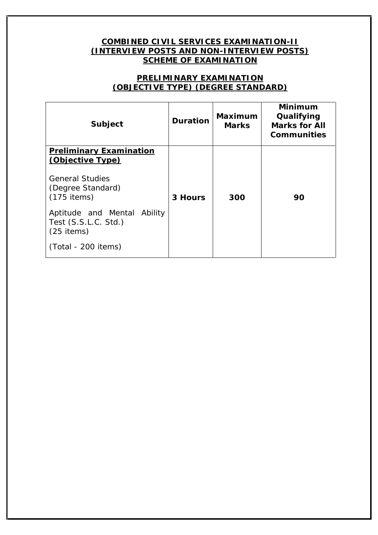## **COMBINED CIVIL SERVICES EXAMINATION-II (INTERVIEW POSTS AND NON-INTERVIEW POSTS) SCHEME OF EXAMINATION**

## **PRELIMINARY EXAMINATION (OBJECTIVE TYPE) (DEGREE STANDARD)**

| Subject                                                                                                            | Duration | Maximum<br><b>Marks</b> | Minimum<br>Qualifying<br>Marks for All<br>Communities |  |
|--------------------------------------------------------------------------------------------------------------------|----------|-------------------------|-------------------------------------------------------|--|
| <b>Preliminary Examination</b><br>(Objective Type)<br><b>General Studies</b><br>(Degree Standard)<br>$(175$ items) | 3 Hours  | 300                     | 90                                                    |  |
| Aptitude and Mental Ability<br>Test (S.S.L.C. Std.)<br>$(25$ items)<br>(Total - 200 items)                         |          |                         |                                                       |  |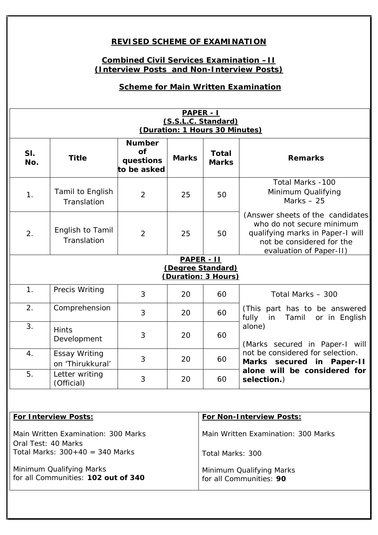# **REVISED SCHEME OF EXAMINATION**

# **Combined Civil Services Examination –II (Interview Posts and Non-Interview Posts)**

# **Scheme for Main Written Examination**

| PAPER - I                                              |                                          |                                                       |       |                       |                                                                                                                                                                                                                                    |  |
|--------------------------------------------------------|------------------------------------------|-------------------------------------------------------|-------|-----------------------|------------------------------------------------------------------------------------------------------------------------------------------------------------------------------------------------------------------------------------|--|
| (S.S.L.C. Standard)<br>(Duration: 1 Hours 30 Minutes)  |                                          |                                                       |       |                       |                                                                                                                                                                                                                                    |  |
| SI.<br>No.                                             | <b>Title</b>                             | Number<br>$\overline{of}$<br>questions<br>to be asked | Marks | Total<br><b>Marks</b> | Remarks                                                                                                                                                                                                                            |  |
| $\mathbf{1}$ .                                         | Tamil to English<br>Translation          | 2                                                     | 25    | 50                    | Total Marks -100<br>Minimum Qualifying<br>Marks $-25$                                                                                                                                                                              |  |
| 2.                                                     | English to Tamil<br>Translation          | 2                                                     | 25    | 50                    | (Answer sheets of the candidates)<br>who do not secure minimum<br>qualifying marks in Paper-I will<br>not be considered for the<br>evaluation of Paper-II)                                                                         |  |
| PAPER - II<br>(Degree Standard)<br>(Duration: 3 Hours) |                                          |                                                       |       |                       |                                                                                                                                                                                                                                    |  |
| $\mathbf{1}$ .                                         | Precis Writing                           | $\mathfrak{Z}$                                        | 20    | 60                    | Total Marks - 300                                                                                                                                                                                                                  |  |
| 2.                                                     | Comprehension                            | 3                                                     | 20    | 60                    | (This part has to be answered<br>fully<br>in<br>Tamil<br>or in English<br>alone)<br>(Marks secured in Paper-I will<br>not be considered for selection.<br>Marks secured in Paper-II<br>alone will be considered for<br>selection.) |  |
| 3.                                                     | <b>Hints</b><br>Development              | 3                                                     | 20    | 60                    |                                                                                                                                                                                                                                    |  |
| $\overline{4}$ .                                       | <b>Essay Writing</b><br>on 'Thirukkural' | 3                                                     | 20    | 60                    |                                                                                                                                                                                                                                    |  |
| 5.                                                     | Letter writing<br>(Official)             | 3                                                     | 20    | 60                    |                                                                                                                                                                                                                                    |  |

| For Interview Posts:                                            | For Non-Interview Posts:                            |
|-----------------------------------------------------------------|-----------------------------------------------------|
| Main Written Examination: 300 Marks<br>Oral Test: 40 Marks      | Main Written Examination: 300 Marks                 |
| Total Marks: $300+40 = 340$ Marks                               | Total Marks: 300                                    |
| Minimum Qualifying Marks<br>for all Communities: 102 out of 340 | Minimum Qualifying Marks<br>for all Communities: 90 |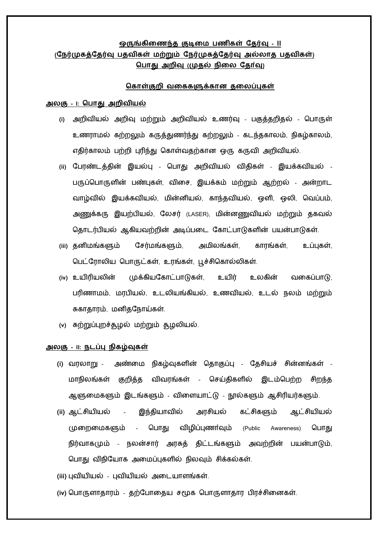## **- II (நேர்முகத்நேர்வு பேவிகள் மற்றும் நேர்முகத்நேர்வு அல்லாே )** <u>பொது அறிவு (முதல் நிலை தோ்வு)</u>

#### <u>கொள்குறி வகைகளுக்கான தலைப்புகள்</u>

#### **அலகு – I: கபாது அறிவியல்**

- **(i)** அறிவு மற்றும் பகுத்தறிதல் பபொருள் உணரொமல் கற்றலும் கருத்துணர்ந்து கற்றலும் - கடந்தகொலம், நிகழ்கொலம், எதிர்காலம் பற்றி புரிந்து கொள்வதற்கான ஒரு கருவி அறிவியல்.
- **(ii)** பபரண்டத்தின் இயல்பு பபொது அறிவியல் விதிகள் இயக்கவியல் பபொருளின் பண்புகள், விசை, இயக்கம் மற்றும் ஆற்றல் - இயக்கவியல், மின்னியல், கொந்தவியல், ஒளி, ஒலி, பவப்பம், அணுக்கரு இயற்பியல், லேசர் (LASER), மின்னணுவியல் மற்றும் தகவல் தொடர்பியல் ஆகியவற்றின் அடிப்படை கோட்பாடுகளின் பயன்பாடுகள்.
- **(iii)** தனிமங்களும் பைர்மங்களும், அமிலங்கள், கொரங்கள், உப்புகள், பபட்பரொலிய பபொருட்கள், உரங்கள், பகொல்லிகள்.
- **(iv)** உயிரியலின் முக்கியபகொட்பொடுகள், உயிர் உலகின் வசகப்பொடு, பரிணொமம், மரபியல், உடலியங்கியல், உணவியல், உடல் நலம் மற்றும் சுகொதொரம், மனிதபநொய்கள்.
- **(v)** சுற்றுப்புறச்சூழல் மற்றும் சூழலியல்.

### **அலகு - II: ேடப்பு ேிகழ்வுகள்**

- **(i)** வரலொறு நிகழ்வுகளின் பதொகுப்பு பதைியச் ைின்னங்கள் மாநிலங்கள் குறித்த விவரங்கள் - செய்திகளில் இடம்பெற்ற சிறந்த ஆளுசமகளும் இடங்களும் - விசளயொட்டு – ஆைிரியர்களும்.
- (ii) ஆட்சியியல் இந்தியாவில் அரசியல் கட்சிகளும் ஆட்சியியல் முறைமைகளும் - பொது விழிப்புணா்வும் (Public Awareness) பொது நிர்வொகமும் – நலன்ைொர் அரசுத் திட்டங்களும் அவற்றின் பயன்பொடும், பொது விநியோக அமைப்புகளில் நிலவும் சிக்கல்கள்.
- **(iii)** புவியியல் புவியியல் அசடயொளங்கள்.
- **(iv)** பபொருளொதொரம் தற்பபொசதய ைமூக பபொருளொதொர பிரச்ைிசனகள்.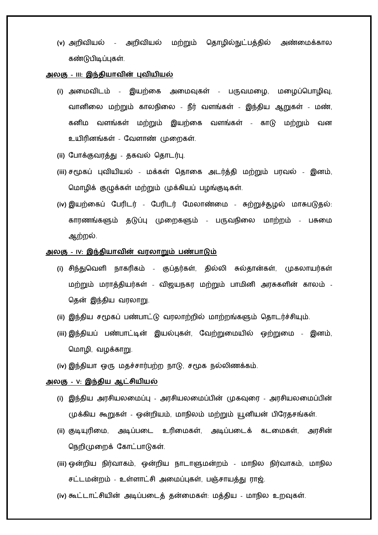**(v)** அறிவியல் – அறிவியல் மற்றும் பதொழில்நுட்பத்தில் கண்டுபிடிப்புகள்.

### அலகு - III: இந்தியாவின் புவியியல்

- (i) அமைவிடம் இயற்கை அமைவுகள் பருவமழை, மழைப்பொழிவு, வானிலை மற்றும் காலநிலை - நீர் வளங்கள் - இந்திய ஆறுகள் - மண், கனிம வளங்கள் மற்றும் இயற்கை வளங்கள் - காடு மற்றும் வன உயிரினங்கள் - வேளாண் முறைகள்.
- (ii) போக்குவரத்து தகவல் தொடர்பு.
- (iii) சமூகப் புவியியல் மக்கள் தொகை அடர்த்தி மற்றும் பரவல் இனம், மொழிக் குழுக்கள் மற்றும் முக்கியப் பழங்குடிகள்.
- (iv) இயற்கைப் பேரிடர் பேரிடர் மேலாண்மை சுற்றுச்சூழல் மாசுபடுதல்: காரணங்களும் தடுப்பு முறைகளும் - பருவநிலை மாற்றம் - பசுமை ஆற்றல்.

#### <u>அலகு - iv: இந்தியாவின் வரலாறும் பண்பாடும்</u>

- (i) சிந்துவெளி நாகரிகம் குப்தர்கள், தில்லி சுல்தான்கள், **முகலாயர்கள்** மற்றும் மராத்தியர்கள் - விஜயநகர மற்றும் பாமினி அரசுகளின் காலம் -தென் இந்திய வரலாறு.
- (ii) இந்திய சமூகப் பண்பாட்டு வரலாற்றில் மாற்றங்களும் தொடர்ச்சியும்.
- (iii) இந்தியப் பண்பாட்டின் இயல்புகள், வேற்றுமையில் ஒற்றுமை இனம், மொழி, வழக்காறு.
- (iv) இந்தியா ஒரு மதச்சார்பற்ற நாடு, சமூக நல்லிணக்கம்.

### <u>அலகு - v: இந்திய ஆட்சியியல்</u>

- (i) இந்திய அரசியலமைப்பு அரசியலமைப்பின் முகவுரை அரசியலமைப்பின் முக்கிய கூறுகள் - ஒன்றியம், மொநிலம் மற்றும் யூனியன் பிபரதைங்கள்.
- **(ii)** குடியுரிசம, அடிப்பசட உரிசமகள், அடிப்பசடக் கடசமகள், அரைின் பநறிமுசறக் பகொட்பொடுகள்.
- **(iii)** ஒன்றிய நிர்வொகம், ஒன்றிய மன்றம் மொநில நிர்வொகம், மொநில சட்டமன்றம் - உள்ளாட்சி அமைப்புகள், பஞ்சாயத்து ராஜ்.
- (iv) கூட்டாட்சியின் அடிப்படைத் தன்மைகள்: மத்திய மாநில உறவுகள்.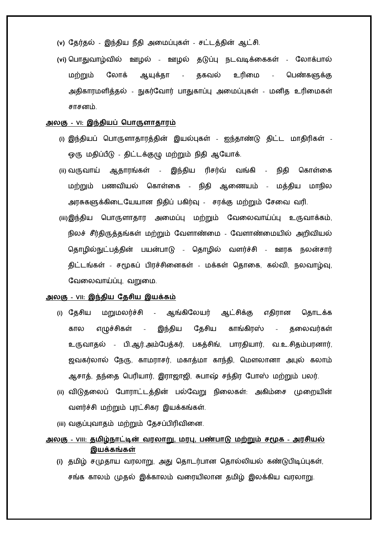- (v) தேர்தல் இந்திய நீதி அமைப்புகள் சட்டத்தின் ஆட்சி.
- **(vi)** பபொதுவொழ்வில் ஊழல் ஊழல் தடுப்பு நடவடிக்சககள் மற்றும் லோக் ஆயுக்தா - தகவல் உரிமை - பெண்களுக்கு அதிகொரமளித்தல் - நுகர்பவொர் பொதுகொப்பு அசமப்புகள் - மனித உரிசமகள் ைொைனம்.

#### **அலகு - VI: இந்ேியப் கபாருளாோரம்**

- **(i)** இந்தியப் பபொருளொதொரத்தின் இயல்புகள் ஐந்தொண்டு திட்ட மொதிரிகள் ஒரு மதிப்பீடு - திட்டக்குழு மற்றும் நிதி ஆபயொக்.
- (ii) வருவாய் ஆதாரங்கள் இந்திய ரிசர்வ் வங்கி **நிதி கொள்கை** மற்றும் பணவியல் கொள்கை - நிதி ஆணையம் - மத்திய மாநில அரசுகளுக்கிடையேயான நிதிப் பகிர்வு - சரக்கு மற்றும் சேவை வரி.
- **(iii)**இந்திய பபொருளொதொர அசமப்பு மற்றும் பவசலவொய்ப்பு உருவொக்கம், நிலச் சீர்திருத்தங்கள் மற்றும் வேளாண்மை - வேளாண்மையில் அறிவியல் தொழில்நுட்பத்தின் பயன்பாடு - தொழில் வளர்ச்சி - ஊரக நலன்சார் திட்டங்கள் - சமூகப் பிரச்சினைகள் - மக்கள் தொகை, கல்வி, நலவாழ்வு, வேலைவாய்ப்பு, வறுமை.

#### **அலகு – VII: இந்ேிய நேசிய இயக்கம்**

- (i) தேசிய மறுமலர்ச்சி ஆங்கிலேயர் ஆட்சிக்கு எதிரான தொடக்க கால எழுச்சிகள் - இந்திய தேசிய காங்கிரஸ் - தலைவர்கள் உருவாதல் - பி.ஆர்.அம்பேத்கர், பகத்சிங், பாரதியார், வ.உ.சிதம்பரனார், ஜவகர்லால் நேரு, காமராசர், மகாத்மா காந்தி, மௌலானா அபுல் கலாம் ஆசாத், தந்தை பெரியார், இராஜாஜி, சுபாஷ் சந்திர போஸ் மற்றும் பலர்.
- **(ii)** விடுதசலப் பபொரொட்டத்தின் பல்பவறு நிசலகள்: அகிம்சை முசறயின் வளர்ச்சி மற்றும் புரட்சிகர இயக்கங்கள்.
- (iii) வகுப்புவாதம் மற்றும் தேசப்பிரிவினை.
- <u>அலகு VIII: தமிழ்நாட்டின் வரலாறு, மரபு, பண்பாடு மற்றும் சமூக அரசியல்</u> இயக்கங்கள்
	- **(i)** தமிழ் ைமுதொய வரலொறு, பதொல்லியல் கண்டுபிடிப்புகள், ைங்க கொலம் முதல் இக்கொலம் வசரயிலொன தமிழ் இலக்கிய வரலொறு.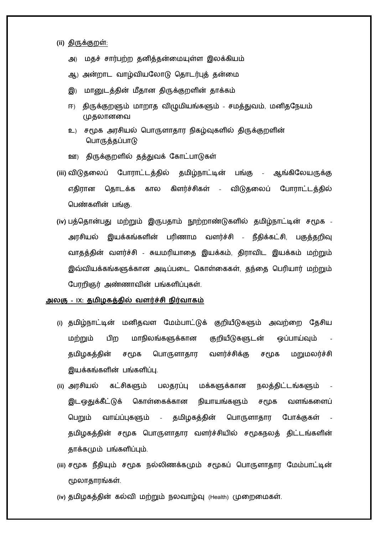#### **(ii)** திருக்குறள்:

- அ) மதச் ைொர்பற்ற தனித்தன்சமயுள்ள இலக்கியம்
- ஆ) அன்றொட வொழ்வியபலொடு பதொடர்புத் தன்சம
- இ) மானுடத்தின் மீதான திருக்குறளின் தாக்கம்
- ஈ) திருக்குறளும் மாறாத விழுமியங்களும் சமத்துவம், மனிதநேயம் முதலொனசவ
- உ) ைமூக அரைியல் பபொருளொதொர நிகழ்வுகளில் திருக்குறளின் பபொருத்தப்பொடு
- ஊ) திருக்குறளில் தத்துவக் பகொட்பொடுகள்
- **(iii)** விடுதசலப் பபொரொட்டத்தில் தமிழ்நொட்டின் பங்கு ஆங்கிபலயருக்கு எதிரான தொடக்க கால கிளர்ச்சிகள் - விடுதலைப் போராட்டத்தில் பபண்களின் பங்கு.
- **(iv)** பத்பதொன்பது மற்றும் இருபதொம் நூற்றொண்டுகளில் தமிழ்நொட்டின் ைமூக அரசியல் இயக்கங்களின் பரிணாம வளர்ச்சி - நீதிக்கட்சி, பகுத்தறிவு வாதத்தின் வளர்ச்சி - சுயமரியாதை இயக்கம், திராவிட இயக்கம் மற்றும் இவ்வியக்கங்களுக்கொன அடிப்பசட பகொள்சககள், தந்சத பபரியொர் மற்றும் பபரறிஞர் அண்ணொவின் பங்களிப்புகள்.

### **அலகு - IX: ேமிழகத்ேில் வளர்ச்சி ேிர்வாக**

- **(i)** தமிழ்நொட்டின் மனிதவள பமம்பொட்டுக் குறியீடுகளும் அவற்சற பதைிய மற்றும் பிற மாநிலங்களுக்கான குறியீடுகளுடன் ஒப்பாய்வும் தமிழகத்தின் சமூக பொருளாதார வளர்ச்சிக்கு சமூக மறுமலர்ச்சி இயக்கங்களின் பங்களிப்பு.
- (ii) அரசியல் கட்சிகளும் பலதரப்பு மக்களுக்கான நலத்திட்டங்களும் இடஒதுக்கீட்டுக் கொள்கைக்கான நியாயங்களும் சமூக வளங்களைப் பெறும் வாய்ப்புகளும் - தமிழகத்தின் பொருளாதார போக்குகள் தமிழகத்தின் சமூக பொருளாதார வளர்ச்சியில் சமூகநலத் திட்டங்களின் தொக்கமும் பங்களிப்பும்.
- **(iii)** ைமூக நீதியும் ைமூக ணக்கமும் ைமூகப் பபொருளொதொர பமம்பொட்டின் மூலொதொரங்கள்.
- (iv) தமிழகத்தின் கல்வி மற்றும் நலவாழ்வு (Health) முறைமைகள்.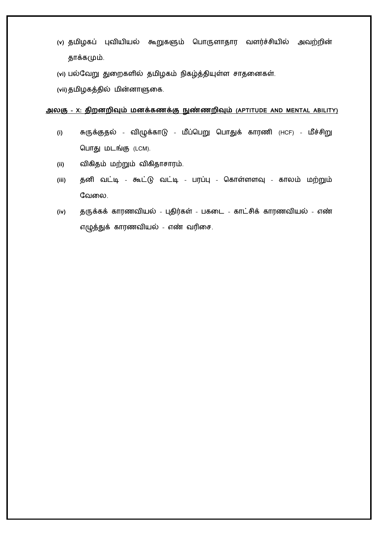- (v) தமிழகப் புவியியல் கூறுகளும் பொருளாதார வளர்ச்சியில் அவற்றின் தொக்கமும்.
- **(vi)** பல்பவறு துசறகளில் தமிழகம் நிகழ்த்தியுள்ள ைொதசனகள்.

**(vii)** தமிழகத்தில் மின்னொளுசக.

### **அலகு – X: ேிறனறிவும் மனக்கணக்கு நுண்ணறிவும் (APTITUDE AND MENTAL ABILITY)**

- **(i)** சுருக்குதல் விழுக்கொடு மீப்பபறு பபொதுக் கொரணி (HCF) பொது மடங்கு (LCM).
- **(ii)** .
- (iii) தனி வட்டி கூட்டு வட்டி பரப்பு கொள்ளளவு காலம் மற்றும் வேலை.
- (iv) தருக்கக் காரணவியல் புதிர்கள் பகடை காட்சிக் காரணவியல் எண் எழுத்துக் காரணவியல் - எண் வரிசை.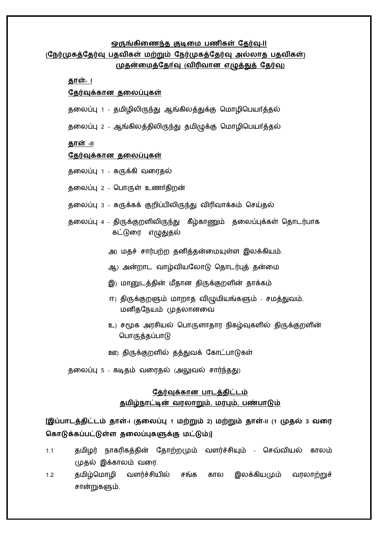#### <u> ஒருங்கிணைந்த</u> குடிமை பணிகள் தேர்வு-II</u>

## <u>(நேர்முகத்தேர்வு பதவிகள் மற்றும் நேர்முகத்தேர்வு அல்லாத பதவிகள்)</u> <u>(முதன்மைத்தோ்வு (விரிவான எழுத்துத் தேர்வு)</u>

<u>தாள்- ப</u>

#### <u>தேர்வுக்கான தலைப்புகள்</u>

- தலைப்பு 1 தமிழிலிருந்து ஆங்கிலத்துக்கு மொழிபெயா்த்தல்
- தலைப்பு 2 ஆங்கிலத்திலிருந்து தமிழுக்கு மொழிபெயா்த்தல்

**தாள்** -II

#### <u>தேர்வுக்கான தலைப்புகள்</u>

- 1 சுருக்கி வசரதல்
- தலைப்பு 2 பொருள் உணர்திறன்
- தலைப்பு 3 சுருக்கக் குறிப்பிலிருந்து விரிவாக்கம் செய்தல்
- தலைப்பு 4 திருக்குறளிலிருந்து கீழ்காணும் தலைப்புக்கள் தொடர்பாக கட்டுரை எழுதுதல்
	- அ) மதச் ைொர்பற்ற தனித்தன்சமயுள்ள இலக்கியம்.
	- ஆ) அன்றொட வொழ்வியபலொடு பதொடர்பு
	- இ) மானுடத்தின் மீதான திருக்குறளின் தாக்கம்
	- ஈ) திருக்குறளும் மாறாத விழுமியங்களும் சமத்துவம், மனிதபநயம் முதலொனசவ
	- உ) ைமூக அரைியல் பபொருளொதொர நிகழ்வுகளில் திருக்குறளின் பபொருத்தப்பொடு
	- ஊ) திருக்குறளில் தத்துவக் பகொட்பொடுகள்

தலைப்பு 5 - கடிதம் வரைதல் (அலுவல் சார்ந்தது)

## தேர்வுக்கான பாடத்திட்டம் <u> தமிழ்நாட்டின் வரலாறும், மரபும், பண்பாடும்</u>

**[ -I ( 1 2) -II (1 3**  கொடுக்கப்பட்டுள்ள தலைப்புகளுக்கு மட்டும்)]

- 1.1 தமிழர் நாகரிகத்தின் தோற்றமும் வளர்ச்சியும் செவ்வியல் காலம் முதல் இக்கொலம் வசர.
- 1.2 தமிழ்பமொழி வளர்ச்ைியில் ைங்க கொல இலக்கியமும் வரலொற்றுச் ைொன்றுகளும்.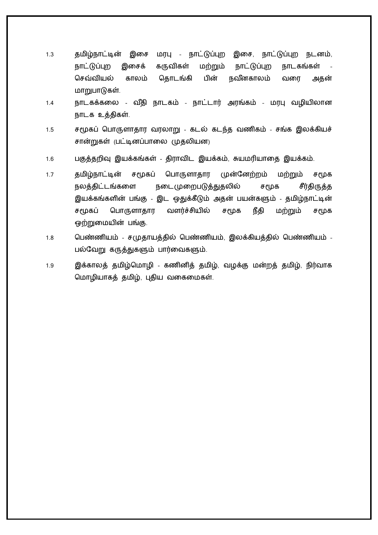- 1.3 தமிழ் இசை மரபு நொட்டுப்புற இசை, நொட்டுப்புற நடனம், நாட்டுப்புற இசைக் கருவிகள் மற்றும் நாட்டுப்புற நாடகங்கள் செவ்வியல் காலம் தொடங்கி பின் நவீனகாலம் வரை அதன் மாறுபாடுகள்.
- 1.4 நொடகக்கசல வ ீதி நொடகம் நொட்டொர் அரங்கம் மரபு வழியிலொன நொடக உத்திகள்.
- 1.5 ைமூகப் பபொருளொதொர வரலொறு கடல் கடந்த வணிகம் ைங்க இலக்கியச் சான்றுகள் (பட்டினப்பாலை முதலியன)
- 1.6 பகுத்தறிவு இயக்கங்கள் திரொவிட இயக்கம், சுயமரியொசத இயக்கம்.
- 1.7 தமிழ்நாட்டின் சமூகப் பொருளாதார முன்னேற்றம் மற்றும் சமூக நலத்திட்டங்களை நடை(முறைபடுத்துதலில் சமூக சீர்திருத்த இயக்கங்களின் பங்கு - இட ஒதுக்கீடும் பயன்களும் - தமிழ்நொட்டின் சமூகப் பொருளாதார வளர்ச்சியில் சமூக நீதி மற்றும் சமூக ஒற்றுசமயின் பங்கு.
- 1.8 பெண்ணியம் சமுதாயத்தில் பெண்ணியம், இலக்கியத்தில் பெண்ணியம் -பல்பவறு கருத்துகளும் பொர்சவகளும்.
- 1.9 இக்கொலத் தமிழ்பமொழி கணினித் தமிழ், வழக்கு மன்றத் தமிழ், நிர்வொக மொழியாகத் தமிழ், புதிய வகைமைகள்.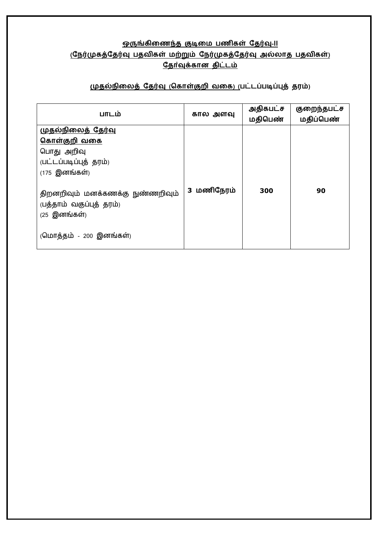# <u> ஒருங்கிணைந்த குடிமை பணிகள் தேர்வு-II</u> <u>(நேர்முகத்தேர்வு பதவிகள் மற்றும் நேர்முகத்தேர்வு அல்லாத பதவிகள்)</u> <u>தோ்வுக்கான திட்டம்</u>

## $(\mu$ தல்நிலைத் தேர்வு (கொள்குறி வகை) (பட்டப்படிப்புத் தரம்)

| பாடம்                                                                                                               | கால அளவு   | அதிகபட்ச<br>மதிபெண் | குறைந்தபட்ச<br>மதிப்பெண் |
|---------------------------------------------------------------------------------------------------------------------|------------|---------------------|--------------------------|
| <u>முதல்நிலைத் தேர்வு</u><br><u>கொள்குறி வகை</u><br>பொது அறிவு<br>(பட்டப்படிப்புத் தரம்)<br>$(175 \n\quad$ இனங்கள்) |            |                     |                          |
| திறனறிவும் மனக்கணக்கு நுண்ணறிவும்<br>(பத்தாம் வகுப்புத் தரம்)<br>$(25 \n\quad$ இனங்கள்)<br>(மொத்தம் - 200 இனங்கள்)  | 3 மணிநேரம் | 300                 | 90                       |